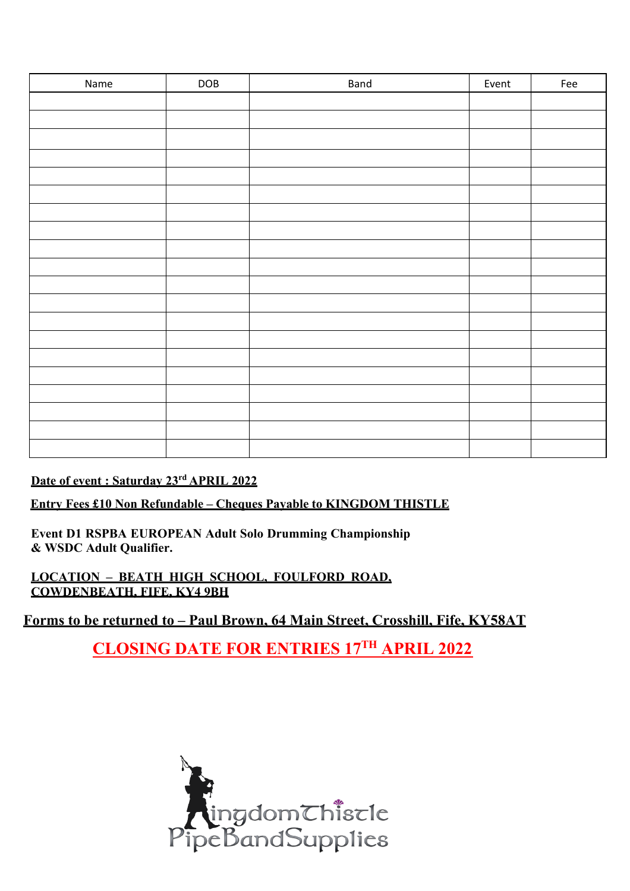| Name | DOB | <b>Band</b> | Event | Fee |
|------|-----|-------------|-------|-----|
|      |     |             |       |     |
|      |     |             |       |     |
|      |     |             |       |     |
|      |     |             |       |     |
|      |     |             |       |     |
|      |     |             |       |     |
|      |     |             |       |     |
|      |     |             |       |     |
|      |     |             |       |     |
|      |     |             |       |     |
|      |     |             |       |     |
|      |     |             |       |     |
|      |     |             |       |     |
|      |     |             |       |     |
|      |     |             |       |     |
|      |     |             |       |     |
|      |     |             |       |     |
|      |     |             |       |     |
|      |     |             |       |     |
|      |     |             |       |     |
|      |     |             |       |     |
|      |     |             |       |     |

## **Date of event : Saturday 23rd APRIL 2022**

**Entry Fees £10 Non Refundable – Cheques Payable to KINGDOM THISTLE**

**Event D1 RSPBA EUROPEAN Adult Solo Drumming Championship & WSDC Adult Qualifier.**

**LOCATION – BEATH HIGH SCHOOL, FOULFORD ROAD, COWDENBEATH, FIFE, KY4 9BH**

**Forms to be returned to – Paul Brown, 64 Main Street, Crosshill, Fife, KY58AT**

**CLOSING DATE FOR ENTRIES 17TH APRIL 2022**

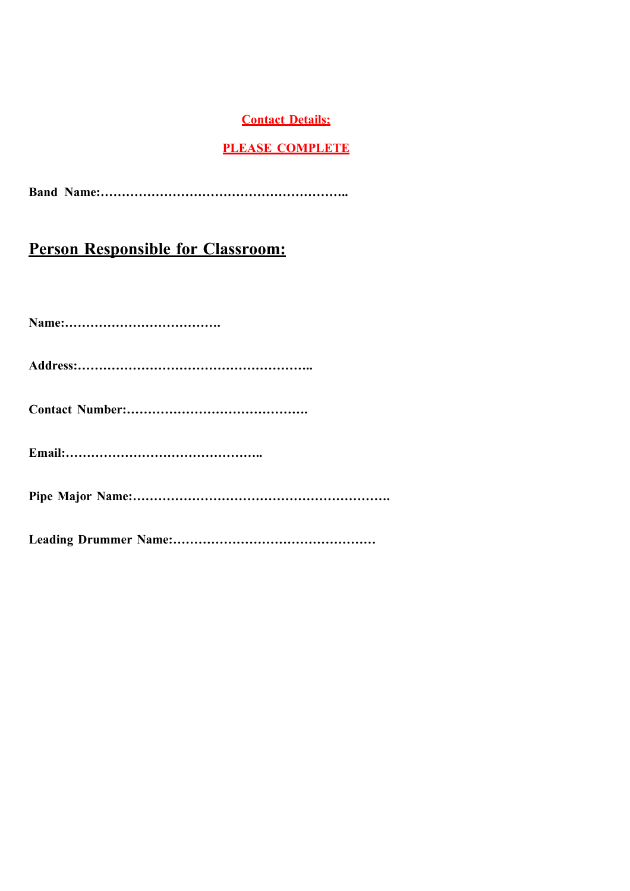### **Contact Details;**

## **PLEASE COMPLETE**

**Band Name:…………………………………………………..**

## **Person Responsible for Classroom:**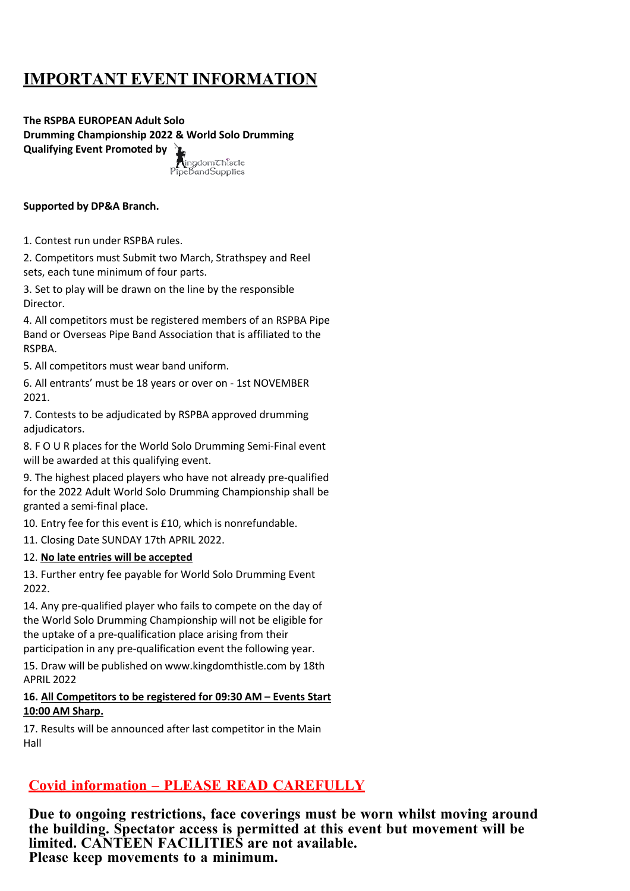# **IMPORTANT EVENT INFORMATION**

**The RSPBA EUROPEAN Adult Solo Drumming Championship 2022 & World Solo Drumming Qualifying Event Promoted by ingdom**<br>Chiscle

ipeBandSupplies

### **Supported by DP&A Branch.**

1. Contest run under RSPBA rules.

2. Competitors must Submit two March, Strathspey and Reel sets, each tune minimum of four parts.

3. Set to play will be drawn on the line by the responsible Director.

4. All competitors must be registered members of an RSPBA Pipe Band or Overseas Pipe Band Association that is affiliated to the RSPBA.

5. All competitors must wear band uniform.

6. All entrants' must be 18 years or over on - 1st NOVEMBER 2021.

7. Contests to be adjudicated by RSPBA approved drumming adiudicators.

8. F O U R places for the World Solo Drumming Semi-Final event will be awarded at this qualifying event.

9. The highest placed players who have not already pre-qualified for the 2022 Adult World Solo Drumming Championship shall be granted a semi-final place.

10. Entry fee for this event is £10, which is nonrefundable.

11. Closing Date SUNDAY 17th APRIL 2022.

#### 12. **No late entries will be accepted**

13. Further entry fee payable for World Solo Drumming Event 2022.

14. Any pre-qualified player who fails to compete on the day of the World Solo Drumming Championship will not be eligible for the uptake of a pre-qualification place arising from their participation in any pre-qualification event the following year.

15. Draw will be published on www.kingdomthistle.com by 18th APRIL 2022

#### **16. All Competitors to be registered for 09:30 AM – Events Start 10:00 AM Sharp.**

17. Results will be announced after last competitor in the Main Hall

## **Covid information – PLEASE READ CAREFULLY**

**Due to ongoing restrictions, face coverings must be worn whilst moving around the building. Spectator access is permitted at this event but movement will be limited. CANTEEN FACILITIES are not available. Please keep movements to a minimum.**